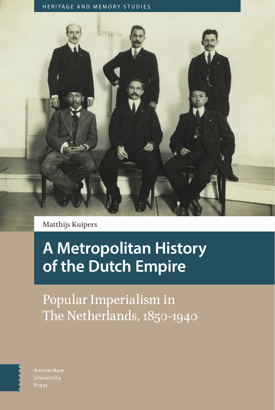HERITAGE AND MEMORY STUDIES



Matthijs Kuipers

# **A Metropolitan History of the Dutch Empire**

Popular Imperialism in The Netherlands, 1850-1940



Amsterdam Press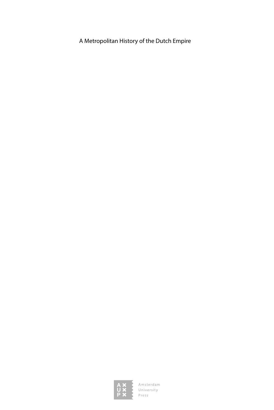A Metropolitan History of the Dutch Empire

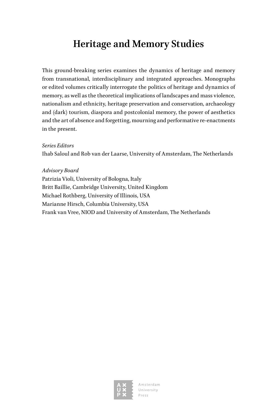## **Heritage and Memory Studies**

This ground-breaking series examines the dynamics of heritage and memory from transnational, interdisciplinary and integrated approaches. Monographs or edited volumes critically interrogate the politics of heritage and dynamics of memory, as well as the theoretical implications of landscapes and mass violence, nationalism and ethnicity, heritage preservation and conservation, archaeology and (dark) tourism, diaspora and postcolonial memory, the power of aesthetics and the art of absence and forgetting, mourning and performative re-enactments in the present.

### *Series Editors*

Ihab Saloul and Rob van der Laarse, University of Amsterdam, The Netherlands

#### *Advisory Board*

Patrizia Violi, University of Bologna, Italy Britt Baillie, Cambridge University, United Kingdom Michael Rothberg, University of Illinois, USA Marianne Hirsch, Columbia University, USA Frank van Vree, NIOD and University of Amsterdam, The Netherlands

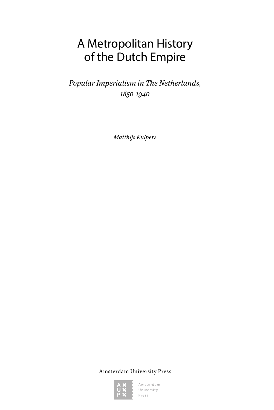# A Metropolitan History of the Dutch Empire

*Popular Imperialism in The Netherlands, 1850-1940*

*Matthijs Kuipers*

Amsterdam University Press

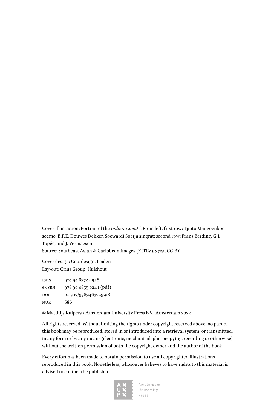Cover illustration: Portrait of the *Indiërs Comité*. From left, first row: Tjipto Mangoenkoesoemo, E.F.E. Douwes Dekker, Soewardi Soerjaningrat; second row: Frans Berding, G.L. Topée, and J. Vermaesen Source: Southeast Asian & Caribbean Images (KITLV), 3725, CC-BY

Cover design: Coördesign, Leiden Lay-out: Crius Group, Hulshout

| <b>ISBN</b> | 978 94 6372 991 8       |
|-------------|-------------------------|
| e-ISBN      | 978 90 4855 024 1 (pdf) |
| DOI         | 10.5117/9789463729918   |
| NUR         | 686                     |

© Matthijs Kuipers / Amsterdam University Press B.V., Amsterdam 2022

All rights reserved. Without limiting the rights under copyright reserved above, no part of this book may be reproduced, stored in or introduced into a retrieval system, or transmitted, in any form or by any means (electronic, mechanical, photocopying, recording or otherwise) without the written permission of both the copyright owner and the author of the book.

Every effort has been made to obtain permission to use all copyrighted illustrations reproduced in this book. Nonetheless, whosoever believes to have rights to this material is advised to contact the publisher

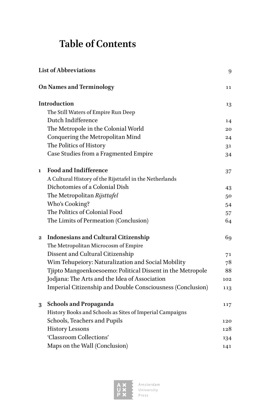# **Table of Contents**

| <b>List of Abbreviations</b> |                                                            | 9   |
|------------------------------|------------------------------------------------------------|-----|
|                              | <b>On Names and Terminology</b>                            | 11  |
|                              | Introduction                                               | 13  |
|                              | The Still Waters of Empire Run Deep                        |     |
|                              | Dutch Indifference                                         | 14  |
|                              | The Metropole in the Colonial World                        | 20  |
|                              | Conquering the Metropolitan Mind                           | 24  |
|                              | The Politics of History                                    | 31  |
|                              | Case Studies from a Fragmented Empire                      | 34  |
| 1                            | <b>Food and Indifference</b>                               | 37  |
|                              | A Cultural History of the Rijsttafel in the Netherlands    |     |
|                              | Dichotomies of a Colonial Dish                             | 43  |
|                              | The Metropolitan Rijsttafel                                | 50  |
|                              | Who's Cooking?                                             | 54  |
|                              | The Politics of Colonial Food                              | 57  |
|                              | The Limits of Permeation (Conclusion)                      | 64  |
| $\bf{2}$                     | <b>Indonesians and Cultural Citizenship</b>                | 69  |
|                              | The Metropolitan Microcosm of Empire                       |     |
|                              | Dissent and Cultural Citizenship                           | 71  |
|                              | Wim Tehupeiory: Naturalization and Social Mobility         | 78  |
|                              | Tjipto Mangoenkoesoemo: Political Dissent in the Metropole | 88  |
|                              | Jodjana: The Arts and the Idea of Association              | 102 |
|                              | Imperial Citizenship and Double Consciousness (Conclusion) | 113 |
| 3                            | <b>Schools and Propaganda</b>                              | 117 |
|                              | History Books and Schools as Sites of Imperial Campaigns   |     |
|                              | Schools, Teachers and Pupils                               | 120 |
|                              | <b>History Lessons</b>                                     | 128 |
|                              | 'Classroom Collections'                                    | 134 |
|                              | Maps on the Wall (Conclusion)                              | 141 |

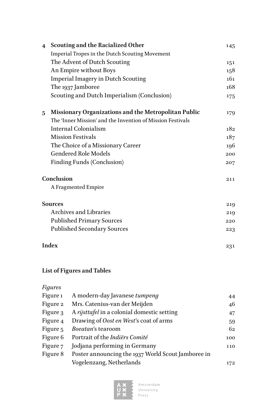| $\overline{\mathbf{4}}$ | <b>Scouting and the Racialized Other</b>                   | 145 |
|-------------------------|------------------------------------------------------------|-----|
|                         | Imperial Tropes in the Dutch Scouting Movement             |     |
|                         | The Advent of Dutch Scouting                               | 151 |
|                         | An Empire without Boys                                     | 158 |
|                         | <b>Imperial Imagery in Dutch Scouting</b>                  | 161 |
|                         | The 1937 Jamboree                                          | 168 |
|                         | Scouting and Dutch Imperialism (Conclusion)                | 175 |
| 5                       | Missionary Organizations and the Metropolitan Public       | 179 |
|                         | The 'Inner Mission' and the Invention of Mission Festivals |     |
|                         | Internal Colonialism                                       | 182 |
|                         | <b>Mission Festivals</b>                                   | 187 |
|                         | The Choice of a Missionary Career                          | 196 |
|                         | <b>Gendered Role Models</b>                                | 200 |
|                         | <b>Finding Funds (Conclusion)</b>                          | 207 |
|                         | Conclusion                                                 | 211 |
|                         | A Fragmented Empire                                        |     |
|                         | <b>Sources</b>                                             | 219 |
|                         | <b>Archives and Libraries</b>                              | 219 |
|                         | <b>Published Primary Sources</b>                           | 220 |
|                         | <b>Published Secondary Sources</b>                         | 223 |
|                         | Index                                                      | 231 |
|                         |                                                            |     |

### **List of Figures and Tables**

### *Figures*

| Figure 1 | A modern-day Javanese tumpeng                      | 44  |
|----------|----------------------------------------------------|-----|
| Figure 2 | Mrs. Catenius-van der Meijden                      | 46  |
| Figure 3 | A rijsttafel in a colonial domestic setting        | 47  |
| Figure 4 | Drawing of Oost en West's coat of arms             | 59  |
| Figure 5 | Boeatan's tearoom                                  | 62  |
| Figure 6 | Portrait of the Indiërs Comité                     | 100 |
| Figure 7 | Jodjana performing in Germany                      | 110 |
| Figure 8 | Poster announcing the 1937 World Scout Jamboree in |     |
|          | Vogelenzang, Netherlands                           | 172 |

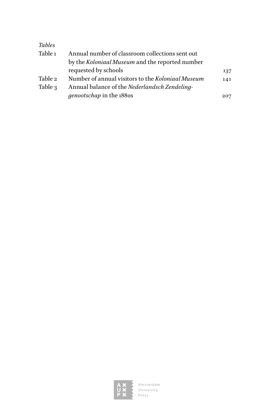| <b>Tables</b> |                                                   |     |
|---------------|---------------------------------------------------|-----|
| Table 1       | Annual number of classroom collections sent out   |     |
|               | by the Koloniaal Museum and the reported number   |     |
|               | requested by schools                              | 137 |
| Table 2       | Number of annual visitors to the Koloniaal Museum | 141 |
| Table 3       | Annual balance of the Nederlandsch Zendeling-     |     |
|               | genootschap in the 1880s                          | 207 |

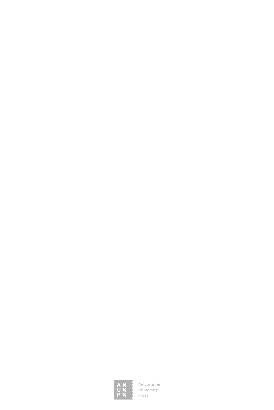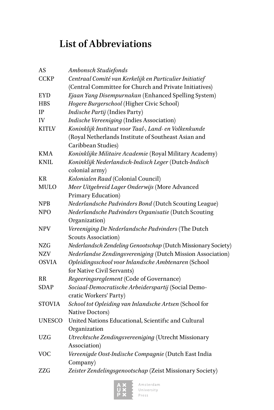# **List of Abbreviations**

| AS            | Ambonsch Studiefonds                                          |
|---------------|---------------------------------------------------------------|
| <b>CCKP</b>   | Centraal Comité van Kerkelijk en Particulier Initiatief       |
|               | (Central Committee for Church and Private Initiatives)        |
| <b>EYD</b>    | Ejaan Yang Disempurnakan (Enhanced Spelling System)           |
| <b>HBS</b>    | Hogere Burgerschool (Higher Civic School)                     |
| IP            | Indische Partij (Indies Party)                                |
| IV            | Indische Vereeniging (Indies Association)                     |
| <b>KITLV</b>  | Koninklijk Instituut voor Taal-, Land- en Volkenkunde         |
|               | (Royal Netherlands Institute of Southeast Asian and           |
|               | Caribbean Studies)                                            |
| <b>KMA</b>    | Koninklijke Militaire Academie (Royal Military Academy)       |
| <b>KNIL</b>   | Koninklijk Nederlandsch-Indisch Leger (Dutch-Indisch          |
|               | colonial army)                                                |
| KR            | Kolonialen Raad (Colonial Council)                            |
| <b>MULO</b>   | Meer Uitgebreid Lager Onderwijs (More Advanced                |
|               | Primary Education)                                            |
| NPB           | Nederlandsche Padvinders Bond (Dutch Scouting League)         |
| <b>NPO</b>    | Nederlandsche Padvinders Organisatie (Dutch Scouting          |
|               | Organization)                                                 |
| <b>NPV</b>    | Vereeniging De Nederlandsche Padvinders (The Dutch            |
|               | <b>Scouts Association</b> )                                   |
| NZG           | Nederlandsch Zendeling Genootschap (Dutch Missionary Society) |
| NZV           | Nederlandse Zendingsvereniging (Dutch Mission Association)    |
| <b>OSVIA</b>  | Opleidingsschool voor Inlandsche Ambtenaren (School           |
|               | for Native Civil Servants)                                    |
| RR            | Regeeringsreglement (Code of Governance)                      |
| <b>SDAP</b>   | Sociaal-Democratische Arbeiderspartij (Social Demo-           |
|               | cratic Workers' Party)                                        |
| <b>STOVIA</b> | School tot Opleiding van Inlandsche Artsen (School for        |
|               | Native Doctors)                                               |
| <b>UNESCO</b> | United Nations Educational, Scientific and Cultural           |
|               | Organization                                                  |
| UZG           | Utrechtsche Zendingsvereeniging (Utrecht Missionary           |
|               | Association)                                                  |
| <b>VOC</b>    | Vereenigde Oost-Indische Compagnie (Dutch East India          |
|               | Company)                                                      |
| ZZG           | Zeister Zendelingsgenootschap (Zeist Missionary Society)      |
|               |                                                               |

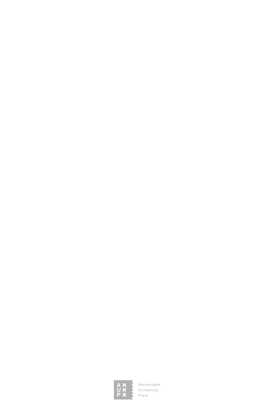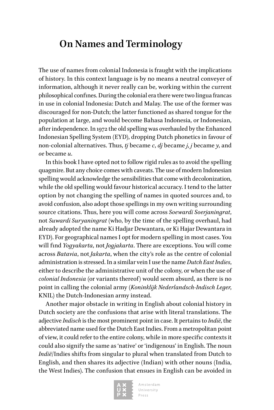### **On Names and Terminology**

The use of names from colonial Indonesia is fraught with the implications of history. In this context language is by no means a neutral conveyer of information, although it never really can be, working within the current philosophical confines. During the colonial era there were two lingua francas in use in colonial Indonesia: Dutch and Malay. The use of the former was discouraged for non-Dutch; the latter functioned as shared tongue for the population at large, and would become Bahasa Indonesia, or Indonesian, after independence. In 1972 the old spelling was overhauled by the Enhanced Indonesian Spelling System (EYD), dropping Dutch phonetics in favour of non-colonial alternatives. Thus, *tj* became *c*, *dj* became *j*, *j* became *y*, and *oe* became *u*.

In this book I have opted not to follow rigid rules as to avoid the spelling quagmire. But any choice comes with caveats. The use of modern Indonesian spelling would acknowledge the sensibilities that come with decolonization, while the old spelling would favour historical accuracy. I tend to the latter option by not changing the spelling of names in quoted sources and, to avoid confusion, also adopt those spellings in my own writing surrounding source citations. Thus, here you will come across *Soewardi Soerjaningrat*, not *Suwardi Suryaningrat* (who, by the time of the spelling overhaul, had already adopted the name Ki Hadjar Dewantara, or Ki Hajar Dewantara in EYD). For geographical names I opt for modern spelling in most cases. You will find *Yogyakarta*, not *Jogjakarta*. There are exceptions. You will come across *Batavia*, not *Jakarta*, when the city's role as the centre of colonial administration is stressed. In a similar vein I use the name *Dutch East Indies*, either to describe the administrative unit of the colony, or when the use of *colonial Indonesia* (or variants thereof) would seem absurd, as there is no point in calling the colonial army (*Koninklijk Nederlandsch-Indisch Leger*, KNIL) the Dutch-Indonesian army instead.

Another major obstacle in writing in English about colonial history in Dutch society are the confusions that arise with literal translations. The adjective *Indisch* is the most prominent point in case. It pertains to *Indië*, the abbreviated name used for the Dutch East Indies. From a metropolitan point of view, it could refer to the entire colony, while in more specific contexts it could also signify the same as 'native' or 'indigenous' in English. The noun *Indië*/Indies shifts from singular to plural when translated from Dutch to English, and then shares its adjective (Indian) with other nouns (India, the West Indies). The confusion that ensues in English can be avoided in

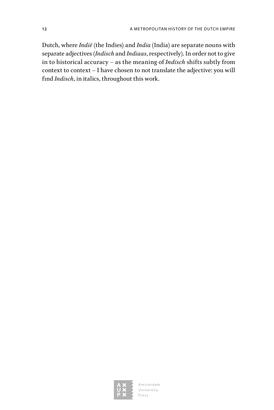Dutch, where *Indië* (the Indies) and *India* (India) are separate nouns with separate adjectives (*Indisch* and *Indiaas*, respectively). In order not to give in to historical accuracy – as the meaning of *Indisch* shifts subtly from context to context – I have chosen to not translate the adjective: you will find *Indisch*, in italics, throughout this work.

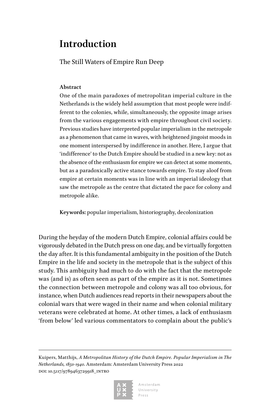### **Introduction**

The Still Waters of Empire Run Deep

### **Abstract**

One of the main paradoxes of metropolitan imperial culture in the Netherlands is the widely held assumption that most people were indifferent to the colonies, while, simultaneously, the opposite image arises from the various engagements with empire throughout civil society. Previous studies have interpreted popular imperialism in the metropole as a phenomenon that came in waves, with heightened jingoist moods in one moment interspersed by indifference in another. Here, I argue that 'indifference' to the Dutch Empire should be studied in a new key: not as the absence of the enthusiasm for empire we can detect at some moments, but as a paradoxically active stance towards empire. To stay aloof from empire at certain moments was in line with an imperial ideology that saw the metropole as the centre that dictated the pace for colony and metropole alike.

**Keywords:** popular imperialism, historiography, decolonization

During the heyday of the modern Dutch Empire, colonial affairs could be vigorously debated in the Dutch press on one day, and be virtually forgotten the day after. It is this fundamental ambiguity in the position of the Dutch Empire in the life and society in the metropole that is the subject of this study. This ambiguity had much to do with the fact that the metropole was (and is) as often seen as part of the empire as it is not. Sometimes the connection between metropole and colony was all too obvious, for instance, when Dutch audiences read reports in their newspapers about the colonial wars that were waged in their name and when colonial military veterans were celebrated at home. At other times, a lack of enthusiasm 'from below' led various commentators to complain about the public's

Kuipers, Matthijs, *A Metropolitan History of the Dutch Empire. Popular Imperialism in The Netherlands, 1850-1940*. Amsterdam: Amsterdam University Press 2022 doi: 10.5117/9789463729918\_intro



Amsterdam University  $P r \varrho s s$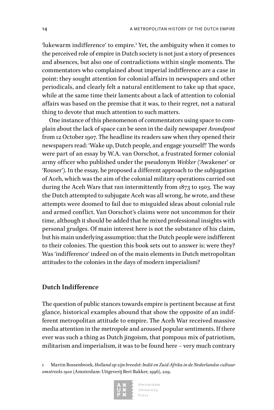'lukewarm indifference' to empire.<sup>1</sup> Yet, the ambiguity when it comes to the perceived role of empire in Dutch society is not just a story of presences and absences, but also one of contradictions within single moments. The commentators who complained about imperial indifference are a case in point: they sought attention for colonial affairs in newspapers and other periodicals, and clearly felt a natural entitlement to take up that space, while at the same time their laments about a lack of attention to colonial affairs was based on the premise that it was, to their regret, not a natural thing to devote that much attention to such matters.

One instance of this phenomenon of commentators using space to complain about the lack of space can be seen in the daily newspaper *Avondpost*  from 12 October 1907. The headline its readers saw when they opened their newspapers read: 'Wake up, Dutch people, and engage yourself!' The words were part of an essay by W.A. van Oorschot, a frustrated former colonial army officer who published under the pseudonym *Wekker* ('Awakener' or 'Rouser'). In the essay, he proposed a different approach to the subjugation of Aceh, which was the aim of the colonial military operations carried out during the Aceh Wars that ran intermittently from 1873 to 1903. The way the Dutch attempted to subjugate Aceh was all wrong, he wrote, and these attempts were doomed to fail due to misguided ideas about colonial rule and armed conflict. Van Oorschot's claims were not uncommon for their time, although it should be added that he mixed professional insights with personal grudges. Of main interest here is not the substance of his claim, but his main underlying assumption: that the Dutch people were indifferent to their colonies. The question this book sets out to answer is: were they? Was 'indifference' indeed on of the main elements in Dutch metropolitan attitudes to the colonies in the days of modern imperialism?

### **Dutch Indifference**

The question of public stances towards empire is pertinent because at first glance, historical examples abound that show the opposite of an indifferent metropolitan attitude to empire. The Aceh War received massive media attention in the metropole and aroused popular sentiments. If there ever was such a thing as Dutch jingoism, that pompous mix of patriotism, militarism and imperialism, it was to be found here – very much contrary

1 Martin Bossenbroek, *Holland op zijn breedst: Indië en Zuid-Afrika in de Nederlandse cultuur omstreeks 1900* (Amsterdam: Uitgeverij Bert Bakker, 1996), 229.

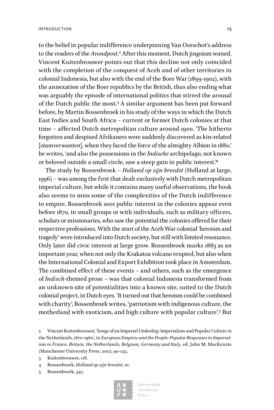to the belief in popular indifference underpinning Van Oorschot's address to the readers of the *Avondpost*. 2 After this moment, Dutch jingoism waned. Vincent Kuitenbrouwer points out that this decline not only coincided with the completion of the conquest of Aceh and of other territories in colonial Indonesia, but also with the end of the Boer War (1899-1902), with the annexation of the Boer republics by the British, thus also ending what was arguably the episode of international politics that stirred the arousal of the Dutch public the most.3 A similar argument has been put forward before, by Martin Bossenbroek in his study of the ways in which the Dutch East Indies and South Africa – current or former Dutch colonies at that time – affected Dutch metropolitan culture around 1900. 'The hitherto forgotten and despised Afrikaners were suddenly discovered as kin-related [*stamverwanten*], when they faced the force of the almighty Albion in 1880,' he writes, 'and also the possessions in the *Indische* archipelago, not known or beloved outside a small circle, saw a steep gain in public interest.<sup>4</sup>

The study by Bossenbroek – *Holland op zijn breedst* (Holland at large, 1996) – was among the first that dealt exclusively with Dutch metropolitan imperial culture, but while it contains many useful observations, the book also seems to miss some of the complexities of the Dutch indifference to empire. Bossenbroek sees public interest in the colonies appear even before 1870, in small groups or with individuals, such as military officers, scholars or missionaries, who saw the potential the colonies offered for their respective professions. With the start of the Aceh War colonial 'heroism and tragedy' were introduced into Dutch society, but still with limited resonance. Only later did civic interest at large grow. Bossenbroek marks 1883 as an important year, when not only the Krakatoa volcano erupted, but also when the International Colonial and Export Exhibition took place in Amsterdam. The combined effect of these events – and others, such as the emergence of *Indisch*-themed prose – was that colonial Indonesia transformed from an unknown site of potentialities into a known site, suited to the Dutch colonial project, in Dutch eyes. 'It turned out that heroism could be combined with charity', Bossenbroek writes, 'patriotism with indigenous culture, the motherland with exoticism, and high culture with popular culture'.<sup>5</sup> But

- 3 Kuitenbrouwer, 118.
- 4 Bossenbroek, *Holland op zijn breedst*, 10.
- 5 Bossenbroek, 347.



<sup>2</sup> Vincent Kuitenbrouwer, 'Songs of an Imperial Underdog: Imperialism and Popular Culture in the Netherlands, 1870-1960', in *European Empires and the People: Popular Responses to Imperialism in France, Britain, the Netherlands, Belgium, Germany and Italy*, ed. John M. MacKenzie (Manchester University Press, 2011), 90-123.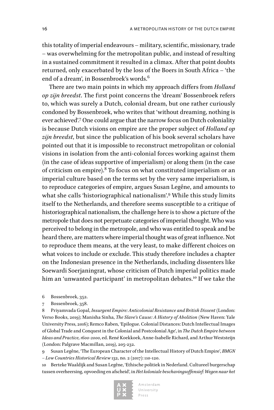this totality of imperial endeavours – military, scientific, missionary, trade – was overwhelming for the metropolitan public, and instead of resulting in a sustained commitment it resulted in a climax. After that point doubts returned, only exacerbated by the loss of the Boers in South Africa – 'the end of a dream', in Bossenbroek's words.<sup>6</sup>

There are two main points in which my approach differs from *Holland op zijn breedst*. The first point concerns the 'dream' Bossenbroek refers to, which was surely a Dutch, colonial dream, but one rather curiously condoned by Bossenbroek, who writes that 'without dreaming, nothing is ever achieved'.7 One could argue that the narrow focus on Dutch coloniality is because Dutch visions on empire are the proper subject of *Holland op zijn breedst*, but since the publication of his book several scholars have pointed out that it is impossible to reconstruct metropolitan or colonial visions in isolation from the anti-colonial forces working against them (in the case of ideas supportive of imperialism) or along them (in the case of criticism on empire). $^8$  To focus on what constituted imperialism or an imperial culture based on the terms set by the very same imperialism, is to reproduce categories of empire, argues Susan Legêne, and amounts to what she calls 'historiographical nationalism'.<sup>9</sup> While this study limits itself to the Netherlands, and therefore seems susceptible to a critique of historiographical nationalism, the challenge here is to show a picture of the metropole that does not perpetuate categories of imperial thought. Who was perceived to belong in the metropole, and who was entitled to speak and be heard there, are matters where imperial thought was of great influence. Not to reproduce them means, at the very least, to make different choices on what voices to include or exclude. This study therefore includes a chapter on the Indonesian presence in the Netherlands, including dissenters like Soewardi Soerjaningrat, whose criticism of Dutch imperial politics made him an 'unwanted participant' in metropolitan debates.<sup>10</sup> If we take the

- 6 Bossenbroek, 352.
- 7 Bossenbroek, 358.

8 Priyamvada Gopal, *Insurgent Empire: Anticolonial Resistance and British Dissent* (London: Verso Books, 2019); Manisha Sinha, *The Slave's Cause: A History of Abolition* (New Haven: Yale University Press, 2016); Remco Raben, 'Epilogue. Colonial Distances: Dutch Intellectual Images of Global Trade and Conquest in the Colonial and Postcolonial Age', in *The Dutch Empire between Ideas and Practice, 1600-2000*, ed. René Koekkoek, Anne-Isabelle Richard, and Arthur Weststeijn (London: Palgrave Macmillan, 2019), 205-232.

9 Susan Legêne, 'The European Character of the Intellectual History of Dutch Empire', *BMGN – Low Countries Historical Review* 132, no. 2 (2017): 110-120.

10 Berteke Waaldijk and Susan Legêne, 'Ethische politiek in Nederland. Cultureel burgerschap tussen overheersing, opvoeding en afscheid', in *Het koloniale beschavingsoffensief: Wegen naar het* 

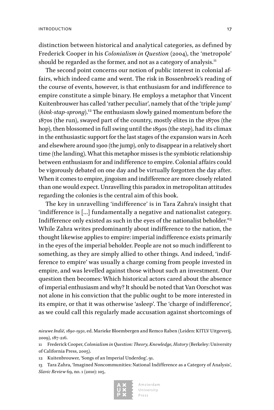distinction between historical and analytical categories, as defined by Frederick Cooper in his *Colonialism in Question* (2004), the 'metropole' should be regarded as the former, and not as a category of analysis.<sup>11</sup>

The second point concerns our notion of public interest in colonial affairs, which indeed came and went. The risk in Bossenbroek's reading of the course of events, however, is that enthusiasm for and indifference to empire constitute a simple binary. He employs a metaphor that Vincent Kuitenbrouwer has called 'rather peculiar', namely that of the 'triple jump' (*hink-stap-sprong*).12 The enthusiasm slowly gained momentum before the 1870s (the run), swayed part of the country, mostly elites in the 1870s (the hop), then blossomed in full swing until the 1890s (the step), had its climax in the enthusiastic support for the last stages of the expansion wars in Aceh and elsewhere around 1900 (the jump), only to disappear in a relatively short time (the landing). What this metaphor misses is the symbiotic relationship between enthusiasm for and indifference to empire. Colonial affairs could be vigorously debated on one day and be virtually forgotten the day after. When it comes to empire, jingoism and indifference are more closely related than one would expect. Unravelling this paradox in metropolitan attitudes regarding the colonies is the central aim of this book.

The key in unravelling 'indifference' is in Tara Zahra's insight that 'indifference is […] fundamentally a negative and nationalist category. Indifference only existed as such in the eyes of the nationalist beholder.'13 While Zahra writes predominantly about indifference to the nation, the thought likewise applies to empire: imperial indifference exists primarily in the eyes of the imperial beholder. People are not so much indifferent to something, as they are simply allied to other things. And indeed, 'indifference to empire' was usually a charge coming from people invested in empire, and was levelled against those without such an investment. Our question then becomes: Which historical actors cared about the absence of imperial enthusiasm and why? It should be noted that Van Oorschot was not alone in his conviction that the public ought to be more interested in its empire, or that it was otherwise 'asleep'. The 'charge of indifference', as we could call this regularly made accusation against shortcomings of

*nieuwe Indië, 1890-1950*, ed. Marieke Bloembergen and Remco Raben (Leiden: KITLV Uitgeverij, 2009), 187-216.

11 Frederick Cooper, *Colonialism in Question: Theory, Knowledge, History* (Berkeley: University of California Press, 2005).

12 Kuitenbrouwer, 'Songs of an Imperial Underdog', 91.

13 Tara Zahra, 'Imagined Noncommunities: National Indifference as a Category of Analysis', *Slavic Review* 69, no. 1 (2010): 105.

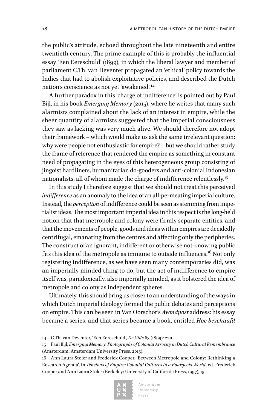the public's attitude, echoed throughout the late nineteenth and entire twentieth century. The prime example of this is probably the influential essay 'Een Eereschuld' (1899), in which the liberal lawyer and member of parliament [C.Th.](http://C.Th) van Deventer propagated an 'ethical' policy towards the Indies that had to abolish exploitative policies, and described the Dutch nation's conscience as not yet 'awakened'.<sup>14</sup>

A further paradox in this 'charge of indifference' is pointed out by Paul Bijl, in his book *Emerging Memory* (2015), where he writes that many such alarmists complained about the lack of an interest in empire, while the sheer quantity of alarmists suggested that the imperial consciousness they saw as lacking was very much alive. We should therefore not adopt their framework – which would make us ask the same irrelevant question: why were people not enthusiastic for empire? – but we should rather study the frame of reference that rendered the empire as something in constant need of propagating in the eyes of this heterogeneous group consisting of jingoist hardliners, humanitarian do-gooders and anti-colonial Indonesian nationalists, all of whom made the charge of indifference relentlessly.<sup>15</sup>

In this study I therefore suggest that we should not treat this perceived *indifference* as an anomaly to the idea of an all-permeating imperial culture. Instead, the *perception* of indifference could be seen as stemming from imperialist ideas. The most important imperial idea in this respect is the long-held notion that that metropole and colony were firmly separate entities, and that the movements of people, goods and ideas within empires are decidedly centrifugal, emanating from the centres and affecting only the peripheries. The construct of an ignorant, indifferent or otherwise not-knowing public fits this idea of the metropole as immune to outside influences.<sup>16</sup> Not only registering indifference, as we have seen many contemporaries did, was an imperially minded thing to do, but the act of indifference to empire itself was, paradoxically, also imperially minded, as it bolstered the idea of metropole and colony as independent spheres.

Ultimately, this should bring us closer to an understanding of the ways in which Dutch imperial ideology formed the public debates and perceptions on empire. This can be seen in Van Oorschot's *Avondpost* address: his essay became a series, and that series became a book, entitled *Hoe beschaafd* 

<sup>16</sup> Ann Laura Stoler and Frederick Cooper, 'Between Metropole and Colony: Rethinking a Research Agenda', in *Tensions of Empire: Colonial Cultures in a Bourgeois World*, ed. Frederick Cooper and Ann Laura Stoler (Berkeley: University of California Press, 1997), 15.



<sup>14</sup> [C.Th.](http://C.Th) van Deventer, 'Een Eereschuld', *De Gids* 63 (1899): 220.

<sup>15</sup> Paul Bijl, *Emerging Memory: Photographs of Colonial Atrocity in Dutch Cultural Remembrance* (Amsterdam: Amsterdam University Press, 2015).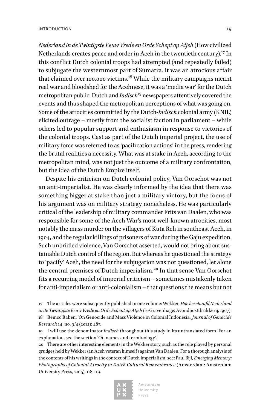*Nederland in de Twintigste Eeuw Vrede en Orde Schept op Atjeh* (How civilized Netherlands creates peace and order in Aceh in the twentieth century).<sup>17</sup> In this conflict Dutch colonial troops had attempted (and repeatedly failed) to subjugate the westernmost part of Sumatra. It was an atrocious affair that claimed over 100,000 victims.18 While the military campaigns meant real war and bloodshed for the Acehnese, it was a 'media war' for the Dutch metropolitan public. Dutch and *Indisch*<sup>19</sup> newspapers attentively covered the events and thus shaped the metropolitan perceptions of what was going on. Some of the atrocities committed by the Dutch-*Indisch* colonial army (KNIL) elicited outrage – mostly from the socialist faction in parliament – while others led to popular support and enthusiasm in response to victories of the colonial troops. Cast as part of the Dutch imperial project, the use of military force was referred to as 'pacification actions' in the press, rendering the brutal realities a necessity. What was at stake in Aceh, according to the metropolitan mind, was not just the outcome of a military confrontation, but the idea of the Dutch Empire itself.

Despite his criticism on Dutch colonial policy, Van Oorschot was not an anti-imperialist. He was clearly informed by the idea that there was something bigger at stake than just a military victory, but the focus of his argument was on military strategy nonetheless. He was particularly critical of the leadership of military commander Frits van Daalen, who was responsible for some of the Aceh War's most well-known atrocities, most notably the mass murder on the villagers of Kuta Reh in southeast Aceh, in 1904, and the regular killings of prisoners of war during the Gaju expedition. Such unbridled violence, Van Oorschot asserted, would not bring about sustainable Dutch control of the region. But whereas he questioned the strategy to 'pacify' Aceh, the need for the subjugation was not questioned, let alone the central premises of Dutch imperialism.<sup>20</sup> In that sense Van Oorschot fits a recurring model of imperial criticism – sometimes mistakenly taken for anti-imperialism or anti-colonialism – that questions the means but not

17 The articles were subsequently published in one volume: Wekker, *Hoe beschaafd Nederland in de Twintigste Eeuw Vrede en Orde Schept op Atjeh* ('s-Gravenhage: Avondpostdrukkerij, 1907). 18 Remco Raben, 'On Genocide and Mass Violence in Colonial Indonesia', *Journal of Genocide Research* 14, no. 3/4 (2012): 487.

20 There are other interesting elements in the Wekker story, such as the role played by personal grudges held by Wekker (an Aceh veteran himself) against Van Daalen. For a thorough analysis of the contents of his writings in the context of Dutch imperialism, see: Paul Bijl, *Emerging Memory: Photographs of Colonial Atrocity in Dutch Cultural Remembrance* (Amsterdam: Amsterdam University Press, 2015), 118-119.



<sup>19</sup> I will use the denominator *Indisch* throughout this study in its untranslated form. For an explanation, see the section 'On names and terminology'.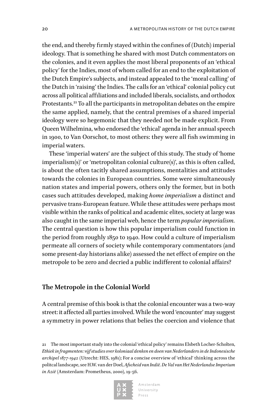the end, and thereby firmly stayed within the confines of (Dutch) imperial ideology. That is something he shared with most Dutch commentators on the colonies, and it even applies the most liberal proponents of an 'ethical policy' for the Indies, most of whom called for an end to the exploitation of the Dutch Empire's subjects, and instead appealed to the 'moral calling' of the Dutch in 'raising' the Indies. The calls for an 'ethical' colonial policy cut across all political affiliations and included liberals, socialists, and orthodox Protestants.<sup>21</sup> To all the participants in metropolitan debates on the empire the same applied, namely, that the central premises of a shared imperial ideology were so hegemonic that they needed not be made explicit. From Queen Wilhelmina, who endorsed the 'ethical' agenda in her annual speech in 1900, to Van Oorschot, to most others: they were all fish swimming in imperial waters.

These 'imperial waters' are the subject of this study. The study of 'home imperialism(s)' or 'metropolitan colonial culture(s)', as this is often called, is about the often tacitly shared assumptions, mentalities and attitudes towards the colonies in European countries. Some were simultaneously nation states and imperial powers, others only the former, but in both cases such attitudes developed, making *home imperialism* a distinct and pervasive trans-European feature. While these attitudes were perhaps most visible within the ranks of political and academic elites, society at large was also caught in the same imperial web, hence the term *popular imperialism.*  The central question is how this popular imperialism could function in the period from roughly 1850 to 1940. How could a culture of imperialism permeate all corners of society while contemporary commentators (and some present-day historians alike) assessed the net effect of empire on the metropole to be zero and decried a public indifferent to colonial affairs?

#### **The Metropole in the Colonial World**

A central premise of this book is that the colonial encounter was a two-way street: it affected all parties involved. While the word 'encounter' may suggest a symmetry in power relations that belies the coercion and violence that

21 The most important study into the colonial 'ethical policy' remains Elsbeth Locher-Scholten, *Ethiek in fragmenten: vijf studies over koloniaal denken en doen van Nederlanders in de Indonesische archipel 1877-1942* (Utrecht: HES, 1981); For a concise overview of 'ethical' thinking across the politcal landscape, see H.W. van der Doel, *Afscheid van Indië. De Val van Het Nederlandse Imperium in Azië* (Amsterdam: Prometheus, 2000), 19-56.

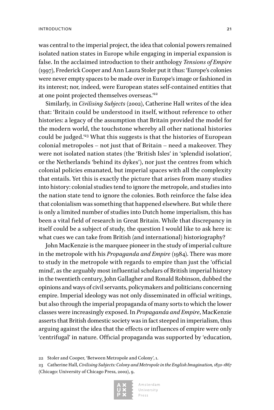was central to the imperial project, the idea that colonial powers remained isolated nation states in Europe while engaging in imperial expansion is false. In the acclaimed introduction to their anthology *Tensions of Empire*  (1997), Frederick Cooper and Ann Laura Stoler put it thus: 'Europe's colonies were never empty spaces to be made over in Europe's image or fashioned in its interest; nor, indeed, were European states self-contained entities that at one point projected themselves overseas."<sup>22</sup>

Similarly, in *Civilising Subjects* (2002), Catherine Hall writes of the idea that: 'Britain could be understood in itself, without reference to other histories: a legacy of the assumption that Britain provided the model for the modern world, the touchstone whereby all other national histories could be judged.'23 What this suggests is that the histories of European colonial metropoles – not just that of Britain – need a makeover. They were not isolated nation states (the 'British Isles' in 'splendid isolation', or the Netherlands 'behind its dykes'), nor just the centres from which colonial policies emanated, but imperial spaces with all the complexity that entails. Yet this is exactly the picture that arises from many studies into history: colonial studies tend to ignore the metropole, and studies into the nation state tend to ignore the colonies. Both reinforce the false idea that colonialism was something that happened elsewhere. But while there is only a limited number of studies into Dutch home imperialism, this has been a vital field of research in Great Britain. While that discrepancy in itself could be a subject of study, the question I would like to ask here is: what cues we can take from British (and international) historiography?

John MacKenzie is the marquee pioneer in the study of imperial culture in the metropole with his *Propaganda and Empire* (1984). There was more to study in the metropole with regards to empire than just the 'official mind', as the arguably most influential scholars of British imperial history in the twentieth century, John Gallagher and Ronald Robinson, dubbed the opinions and ways of civil servants, policymakers and politicians concerning empire. Imperial ideology was not only disseminated in official writings, but also through the imperial propaganda of many sorts to which the lower classes were increasingly exposed. In *Propaganda and Empire*, MacKenzie asserts that British domestic society was in fact steeped in imperialism, thus arguing against the idea that the effects or influences of empire were only 'centrifugal' in nature. Official propaganda was supported by 'education,

22 Stoler and Cooper, 'Between Metropole and Colony', 1.

23 Catherine Hall, *Civilising Subjects: Colony and Metropole in the English Imagination, 1830-1867* (Chicago: University of Chicago Press, 2002), 9.

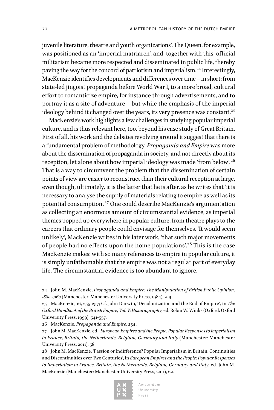juvenile literature, theatre and youth organizations'. The Queen, for example, was positioned as an 'imperial matriarch', and, together with this, official militarism became more respected and disseminated in public life, thereby paving the way for the concord of patriotism and imperialism.24 Interestingly, MacKenzie identifies developments and differences over time – in short: from state-led jingoist propaganda before World War I, to a more broad, cultural effort to romanticize empire, for instance through advertisements, and to portray it as a site of adventure – but while the emphasis of the imperial ideology behind it changed over the years, its very presence was constant.<sup>25</sup>

MacKenzie's work highlights a few challenges in studying popular imperial culture, and is thus relevant here, too, beyond his case study of Great Britain. First of all, his work and the debates revolving around it suggest that there is a fundamental problem of methodology. *Propaganda and Empire* was more about the dissemination of propaganda in society, and not directly about its reception, let alone about how imperial ideology was made 'from below'.<sup>26</sup> That is a way to circumvent the problem that the dissemination of certain points of view are easier to reconstruct than their cultural reception at large, even though, ultimately, it is the latter that he is after, as he writes that 'it is necessary to analyse the supply of materials relating to empire as well as its potential consumption'.27 One could describe MacKenzie's argumentation as collecting an enormous amount of circumstantial evidence, as imperial themes popped up everywhere in popular culture, from theatre plays to the careers that ordinary people could envisage for themselves. 'It would seem unlikely', MacKenzie writes in his later work, 'that such major movements of people had no effects upon the home populations'.28 This is the case MacKenzie makes: with so many references to empire in popular culture, it is simply unfathomable that the empire was not a regular part of everyday life. The circumstantial evidence is too abundant to ignore.

26 MacKenzie, *Propaganda and Empire*, 254.

27 John M. MacKenzie, ed., *European Empires and the People: Popular Responses to Imperialism in France, Britain, the Netherlands, Belgium, Germany and Italy* (Manchester: Manchester University Press, 2011), 58.

28 John M. MacKenzie, 'Passion or Indifference? Popular Imperialism in Britain: Continuities and Discontinuities over Two Centuries', in *European Empires and the People: Popular Responses to Imperialism in France, Britain, the Netherlands, Belgium, Germany and Italy*, ed. John M. MacKenzie (Manchester: Manchester University Press, 2011), 62.



<sup>24</sup> John M. MacKenzie, *Propaganda and Empire: The Manipulation of British Public Opinion, 1880-1960* (Manchester: Manchester University Press, 1984), 2-9.

<sup>25</sup> MacKenzie, 16, 255-257; Cf. John Darwin, 'Decolonization and the End of Empire', in *The Oxford Handbook of the British Empire, Vol. V: Historiography*, ed. Robin W. Winks (Oxford: Oxford University Press, 1999), 541-557.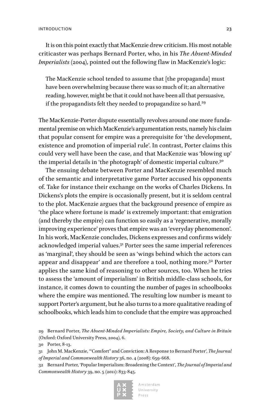It is on this point exactly that MacKenzie drew criticism. His most notable criticaster was perhaps Bernard Porter, who, in his *The Absent-Minded Imperialists* (2004), pointed out the following flaw in MacKenzie's logic:

The MacKenzie school tended to assume that [the propaganda] must have been overwhelming because there was so much of it; an alternative reading, however, might be that it could not have been all that persuasive, if the propagandists felt they needed to propagandize so hard.<sup>29</sup>

The MacKenzie-Porter dispute essentially revolves around one more fundamental premise on which MacKenzie's argumentation rests, namely his claim that popular consent for empire was a prerequisite for 'the development, existence and promotion of imperial rule'. In contrast, Porter claims this could very well have been the case, and that MacKenzie was 'blowing up' the imperial details in 'the photograph' of domestic imperial culture.<sup>30</sup>

The ensuing debate between Porter and MacKenzie resembled much of the semantic and interpretative game Porter accused his opponents of. Take for instance their exchange on the works of Charles Dickens. In Dickens's plots the empire is occasionally present, but it is seldom central to the plot. MacKenzie argues that the background presence of empire as 'the place where fortune is made' is extremely important: that emigration (and thereby the empire) can function so easily as a 'regenerative, morally improving experience' proves that empire was an 'everyday phenomenon'. In his work, MacKenzie concludes, Dickens expresses and confirms widely acknowledged imperial values.31 Porter sees the same imperial references as 'marginal', they should be seen as 'wings behind which the actors can appear and disappear' and are therefore a tool, nothing more.32 Porter applies the same kind of reasoning to other sources, too. When he tries to assess the 'amount of imperialism' in British middle-class schools, for instance, it comes down to counting the number of pages in schoolbooks where the empire was mentioned. The resulting low number is meant to support Porter's argument, but he also turns to a more qualitative reading of schoolbooks, which leads him to conclude that the empire was approached

30 Porter, 8-13.

<sup>32</sup> Bernard Porter, 'Popular Imperialism: Broadening the Context', *The Journal of Imperial and Commonwealth History* 39, no. 5 (2011): 833-845.



<sup>29</sup> Bernard Porter, *The Absent-Minded Imperialists: Empire, Society, and Culture in Britain* (Oxford: Oxford University Press, 2004), 6.

<sup>31</sup> John M. MacKenzie, '"Comfort" and Conviction: A Response to Bernard Porter', *The Journal of Imperial and Commonwealth History* 36, no. 4 (2008): 659-668.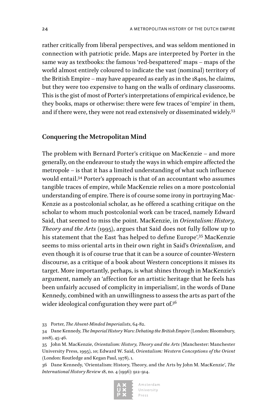rather critically from liberal perspectives, and was seldom mentioned in connection with patriotic pride. Maps are interpreted by Porter in the same way as textbooks: the famous 'red-bespattered' maps – maps of the world almost entirely coloured to indicate the vast (nominal) territory of the British Empire – may have appeared as early as in the 1840s, he claims, but they were too expensive to hang on the walls of ordinary classrooms. This is the gist of most of Porter's interpretations of empirical evidence, be they books, maps or otherwise: there were few traces of 'empire' in them, and if there were, they were not read extensively or disseminated widely.<sup>33</sup>

### **Conquering the Metropolitan Mind**

The problem with Bernard Porter's critique on MacKenzie – and more generally, on the endeavour to study the ways in which empire affected the metropole – is that it has a limited understanding of what such influence would entail.34 Porter's approach is that of an accountant who assumes tangible traces of empire, while MacKenzie relies on a more postcolonial understanding of empire. There is of course some irony in portraying Mac-Kenzie as a postcolonial scholar, as he offered a scathing critique on the scholar to whom much postcolonial work can be traced, namely Edward Said, that seemed to miss the point. MacKenzie, in *Orientalism: History, Theory and the Arts* (1995), argues that Said does not fully follow up to his statement that the East 'has helped to define Europe'.<sup>35</sup> MacKenzie seems to miss oriental arts in their own right in Said's *Orientalism*, and even though it is of course true that it can be a source of counter-Western discourse, as a critique of a book about Western conceptions it misses its target. More importantly, perhaps, is what shines through in MacKenzie's argument, namely an 'affection for an artistic heritage that he feels has been unfairly accused of complicity in imperialism', in the words of Dane Kennedy, combined with an unwillingness to assess the arts as part of the wider ideological configuration they were part of.<sup>36</sup>

<sup>36</sup> Dane Kennedy, 'Orientalism: History, Theory, and the Arts by John M. MacKenzie', *The International History Review* 18, no. 4 (1996): 912-914.



<sup>33</sup> Porter, *The Absent-Minded Imperialists*, 64-82.

<sup>34</sup> Dane Kennedy, *The Imperial History Wars: Debating the British Empire* (London: Bloomsbury, 2018), 45-46.

<sup>35</sup> John M. MacKenzie, *Orientalism: History, Theory and the Arts* (Manchester: Manchester University Press, 1995), 10; Edward W. Said, *Orientalism: Western Conceptions of the Orient* (London: Routledge and Kegan Paul, 1978), 1.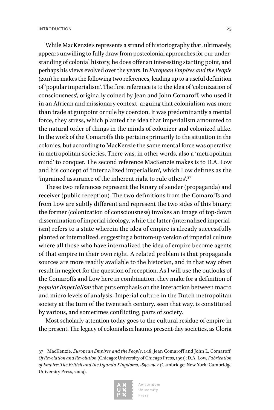While MacKenzie's represents a strand of historiography that, ultimately, appears unwilling to fully draw from postcolonial approaches for our understanding of colonial history, he does offer an interesting starting point, and perhaps his views evolved over the years. In *European Empires and the People*  (2011) he makes the following two references, leading up to a useful definition of 'popular imperialism'. The first reference is to the idea of 'colonization of consciousness', originally coined by Jean and John Comaroff, who used it in an African and missionary context, arguing that colonialism was more than trade at gunpoint or rule by coercion. It was predominantly a mental force, they stress, which planted the idea that imperialism amounted to the natural order of things in the minds of colonizer and colonized alike. In the work of the Comaroffs this pertains primarily to the situation in the colonies, but according to MacKenzie the same mental force was operative in metropolitan societies. There was, in other words, also a 'metropolitan mind' to conquer. The second reference MacKenzie makes is to D.A. Low and his concept of 'internalized imperialism', which Low defines as the 'ingrained assurance of the inherent right to rule others'.37

These two references represent the binary of sender (propaganda) and receiver (public reception). The two definitions from the Comaroffs and from Low are subtly different and represent the two sides of this binary: the former (colonization of consciousness) invokes an image of top-down dissemination of imperial ideology, while the latter (internalized imperialism) refers to a state wherein the idea of empire is already successfully planted or internalized, suggesting a bottom-up version of imperial culture where all those who have internalized the idea of empire become agents of that empire in their own right. A related problem is that propaganda sources are more readily available to the historian, and in that way often result in neglect for the question of reception. As I will use the outlooks of the Comaroffs and Low here in combination, they make for a definition of *popular imperialism* that puts emphasis on the interaction between macro and micro levels of analysis. Imperial culture in the Dutch metropolitan society at the turn of the twentieth century, seen that way, is constituted by various, and sometimes conflicting, parts of society.

Most scholarly attention today goes to the cultural residue of empire in the present. The legacy of colonialism haunts present-day societies, as Gloria

<sup>37</sup> MacKenzie, *European Empires and the People*, 1-18; Jean Comaroff and John L. Comaroff, *Of Revelation and Revolution* (Chicago: University of Chicago Press, 1991); D.A. Low, *Fabrication of Empire: The British and the Uganda Kingdoms, 1890-1902* (Cambridge; New York: Cambridge University Press, 2009).

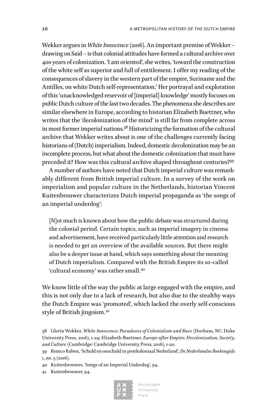Wekker argues in *White Innocence* (2016). An important premise of Wekker – drawing on Said – is that colonial attitudes have formed a cultural archive over 400 years of colonization. 'I am oriented', she writes, 'toward the construction of the white self as superior and full of entitlement. I offer my reading of the consequences of slavery in the western part of the empire, Suriname and the Antilles, on white Dutch self-representation.' Her portrayal and exploration of this 'unacknowledged reservoir of [imperial] knowledge' mostly focuses on public Dutch culture of the last two decades. The phenomena she describes are similar elsewhere in Europe, according to historian Elizabeth Buettner, who writes that the 'decolonization of the mind' is still far from complete across in most former imperial nations.<sup>38</sup> Historicizing the formation of the cultural archive that Wekker writes about is one of the challenges currently facing historians of (Dutch) imperialism. Indeed, domestic decolonization may be an incomplete process, but what about the domestic colonization that must have preceded it? How was this cultural archive shaped throughout centuries?39

A number of authors have noted that Dutch imperial culture was remarkably different from British imperial culture. In a survey of the work on imperialism and popular culture in the Netherlands, historian Vincent Kuitenbrouwer characterizes Dutch imperial propaganda as 'the songs of an imperial underdog':

[N]ot much is known about how the public debate was structured during the colonial period. Certain topics, such as imperial imagery in cinema and advertisement, have received particularly little attention and research is needed to get an overview of the available sources. But there might also be a deeper issue at hand, which says something about the meaning of Dutch imperialism. Compared with the British Empire its so-called 'cultural economy' was rather small.<sup>40</sup>

We know little of the way the public at large engaged with the empire, and this is not only due to a lack of research, but also due to the stealthy ways the Dutch Empire was 'promoted', which lacked the overly self-conscious style of British jingoism.<sup>41</sup>

38 Gloria Wekker, *White Innocence: Paradoxes of Colonialism and Race* (Durham, NC: Duke University Press, 2016), 1-29; Elizabeth Buettner, *Europe after Empire: Decolonization, Society, and Culture* (Cambridge: Cambridge University Press, 2016), 1-20.

40 Kuitenbrouwer, 'Songs of an Imperial Underdog', 94.

41 Kuitenbrouwer, 94.



<sup>39</sup> Remco Raben, 'Schuld en onschuld in postkoloniaal Nederland', *De Nederlandse Boekengids* 1, no. 5 (2016).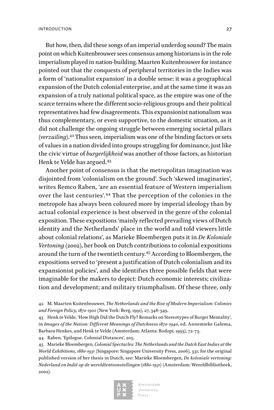But how, then, did these songs of an imperial underdog sound? The main point on which Kuitenbrouwer sees consensus among historians is in the role imperialism played in nation-building. Maarten Kuitenbrouwer for instance pointed out that the conquests of peripheral territories in the Indies was a form of 'nationalist expansion' in a double sense: it was a geographical expansion of the Dutch colonial enterprise, and at the same time it was an expansion of a truly national political space, as the empire was one of the scarce terrains where the different socio-religious groups and their political representatives had few disagreements. This expansionist nationalism was thus complementary, or even supportive, to the domestic situation, as it did not challenge the ongoing struggle between emerging societal pillars (*verzuiling*).42 Thus seen, imperialism was one of the binding factors or sets of values in a nation divided into groups struggling for dominance, just like the civic virtue of *burgerlijkheid* was another of those factors, as historian Henk te Velde has argued.<sup>43</sup>

Another point of consensus is that the metropolitan imagination was disjointed from 'colonialism on the ground'. Such 'skewed imaginaries', writes Remco Raben, 'are an essential feature of Western imperialism over the last centuries'.44 That the perception of the colonies in the metropole has always been coloured more by imperial ideology than by actual colonial experience is best observed in the genre of the colonial exposition. These expositions 'mainly reflected prevailing views of Dutch identity and the Netherlands' place in the world and told viewers little about colonial relations', as Marieke Bloembergen puts it in *De Koloniale Vertoning* (2002), her book on Dutch contributions to colonial expositions around the turn of the twentieth century.45 According to Bloembergen, the expositions served to 'present a justification of Dutch colonialism and its expansionist policies', and she identifies three possible fields that were imaginable for the makers to depict: Dutch economic interests; civilization and development; and military triumphalism. Of these three, only

44 Raben, 'Epilogue. Colonial Distances', 205.

45 Marieke Bloembergen, *Colonial Spectacles: The Netherlands and the Dutch East Indies at the World Exhibitions, 1880-1931* (Singapore: Singapore University Press, 2006), 331; for the original published version of her thesis in Dutch, see: Marieke Bloembergen, *De koloniale vertoning: Nederland en Indië op de wereldtentoonstellingen (1880-1931)* (Amsterdam: Wereldbibliotheek, 2002).



<sup>42</sup> M. Maarten Kuitenbrouwer, *The Netherlands and the Rise of Modern Imperialism: Colonies and Foreign Policy, 1870-1902* (New York: Berg, 1991), 27, 348-349.

<sup>43</sup> Henk te Velde, 'How High Did the Dutch Fly? Remarks on Stereotypes of Burger Mentality', in *Images of the Nation: Different Meanings of Dutchness 1870-1940*, ed. Annemieke Galema, Barbara Henkes, and Henk te Velde (Amsterdam; Atlanta: Rodopi, 1993), 72-73.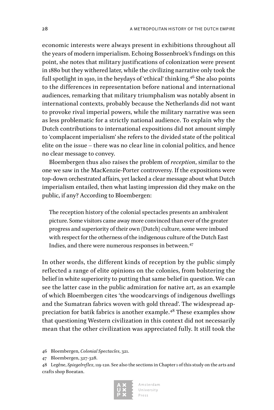economic interests were always present in exhibitions throughout all the years of modern imperialism. Echoing Bossenbroek's findings on this point, she notes that military justifications of colonization were present in 1880 but they withered later, while the civilizing narrative only took the full spotlight in 1910, in the heydays of 'ethical' thinking.<sup>46</sup> She also points to the differences in representation before national and international audiences, remarking that military triumphalism was notably absent in international contexts, probably because the Netherlands did not want to provoke rival imperial powers, while the military narrative was seen as less problematic for a strictly national audience. To explain why the Dutch contributions to international expositions did not amount simply to 'complacent imperialism' she refers to the divided state of the political elite on the issue – there was no clear line in colonial politics, and hence no clear message to convey.

Bloembergen thus also raises the problem of *reception*, similar to the one we saw in the MacKenzie-Porter controversy. If the expositions were top-down orchestrated affairs, yet lacked a clear message about what Dutch imperialism entailed, then what lasting impression did they make on the public, if any? According to Bloembergen:

The reception history of the colonial spectacles presents an ambivalent picture. Some visitors came away more convinced than ever of the greater progress and superiority of their own (Dutch) culture, some were imbued with respect for the otherness of the indigenous culture of the Dutch East Indies, and there were numerous responses in between.<sup>47</sup>

In other words, the different kinds of reception by the public simply reflected a range of elite opinions on the colonies, from bolstering the belief in white superiority to putting that same belief in question. We can see the latter case in the public admiration for native art, as an example of which Bloembergen cites 'the woodcarvings of indigenous dwellings and the Sumatran fabrics woven with gold thread'. The widespread appreciation for batik fabrics is another example.48 These examples show that questioning Western civilization in this context did not necessarily mean that the other civilization was appreciated fully. It still took the

<sup>48</sup> Legêne, *Spiegelreflex*, 119-120. See also the sections in Chapter 1 of this study on the arts and crafts shop Boeatan.



<sup>46</sup> Bloembergen, *Colonial Spectacles*, 321.

<sup>47</sup> Bloembergen, 327-328.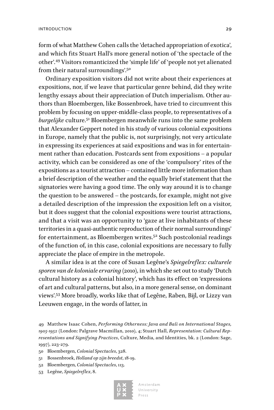form of what Matthew Cohen calls the 'detached appropriation of exotica', and which fits Stuart Hall's more general notion of 'the spectacle of the other'.49 Visitors romanticized the 'simple life' of 'people not yet alienated from their natural surroundings'.<sup>50</sup>

Ordinary exposition visitors did not write about their experiences at expositions, nor, if we leave that particular genre behind, did they write lengthy essays about their appreciation of Dutch imperialism. Other authors than Bloembergen, like Bossenbroek, have tried to circumvent this problem by focusing on upper-middle-class people, to representatives of a *burgelijke* culture.51 Bloembergen meanwhile runs into the same problem that Alexander Geppert noted in his study of various colonial expositions in Europe, namely that the public is, not surprisingly, not very articulate in expressing its experiences at said expositions and was in for entertainment rather than education. Postcards sent from expositions – a popular activity, which can be considered as one of the 'compulsory' rites of the expositions as a tourist attraction – contained little more information than a brief description of the weather and the equally brief statement that the signatories were having a good time. The only way around it is to change the question to be answered – the postcards, for example, might not give a detailed description of the impression the exposition left on a visitor, but it does suggest that the colonial expositions were tourist attractions, and that a visit was an opportunity to 'gaze at live inhabitants of these territories in a quasi-authentic reproduction of their normal surroundings' for entertainment, as Bloembergen writes.<sup>52</sup> Such postcolonial readings of the function of, in this case, colonial expositions are necessary to fully appreciate the place of empire in the metropole.

A similar idea is at the core of Susan Legêne's *Spiegelreflex: culturele sporen van de koloniale ervaring* (2010), in which she set out to study 'Dutch cultural history as a colonial history', which has its effect on 'expressions of art and cultural patterns, but also, in a more general sense, on dominant views'.53 More broadly, works like that of Legêne, Raben, Bijl, or Lizzy van Leeuwen engage, in the words of latter, in

- 51 Bossenbroek, *Holland op zijn breedst*, 18-19.
- 52 Bloembergen, *Colonial Spectacles*, 113.
- 53 Legêne, *Spiegelreflex*, 8.



<sup>49</sup> Matthew Isaac Cohen, *Performing Otherness: Java and Bali on International Stages, 1905-1952* (London: Palgrave Macmillan, 2010), 4; Stuart Hall, *Representation: Cultural Representations and Signifying Practices*, Culture, Media, and Identities, bk. 2 (London: Sage, 1997), 223-279.

<sup>50</sup> Bloembergen, *Colonial Spectacles*, 328.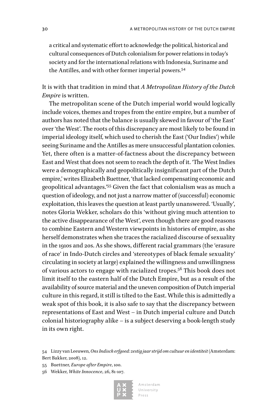a critical and systematic effort to acknowledge the political, historical and cultural consequences of Dutch colonialism for power relations in today's society and for the international relations with Indonesia, Suriname and the Antilles, and with other former imperial powers.54

It is with that tradition in mind that *A Metropolitan History of the Dutch Empire* is written.

The metropolitan scene of the Dutch imperial world would logically include voices, themes and tropes from the entire empire, but a number of authors has noted that the balance is usually skewed in favour of 'the East' over 'the West'. The roots of this discrepancy are most likely to be found in imperial ideology itself, which used to cherish the East ('Our Indies') while seeing Suriname and the Antilles as mere unsuccessful plantation colonies. Yet, there often is a matter-of-factness about the discrepancy between East and West that does not seem to reach the depth of it. 'The West Indies were a demographically and geopolitically insignificant part of the Dutch empire,' writes Elizabeth Buettner, 'that lacked compensating economic and geopolitical advantages.'55 Given the fact that colonialism was as much a question of ideology, and not just a narrow matter of (successful) economic exploitation, this leaves the question at least partly unanswered. 'Usually', notes Gloria Wekker, scholars do this 'without giving much attention to the active disappearance of the West', even though there are good reasons to combine Eastern and Western viewpoints in histories of empire, as she herself demonstrates when she traces the racialized discourse of sexuality in the 1910s and 20s. As she shows, different racial grammars (the 'erasure of race' in Indo-Dutch circles and 'stereotypes of black female sexuality' circulating in society at large) explained the willingness and unwillingness of various actors to engage with racialized tropes.56 This book does not limit itself to the eastern half of the Dutch Empire, but as a result of the availability of source material and the uneven composition of Dutch imperial culture in this regard, it still is tilted to the East. While this is admittedly a weak spot of this book, it is also safe to say that the discrepancy between representations of East and West – in Dutch imperial culture and Dutch colonial historiography alike – is a subject deserving a book-length study in its own right.

<sup>56</sup> Wekker, *White Innocence*, 26, 81-107.



<sup>54</sup> Lizzy van Leeuwen, *Ons Indisch erfgoed: zestig jaar strijd om cultuur en identiteit* (Amsterdam: Bert Bakker, 2008), 12.

<sup>55</sup> Buettner, *Europe after Empire*, 100.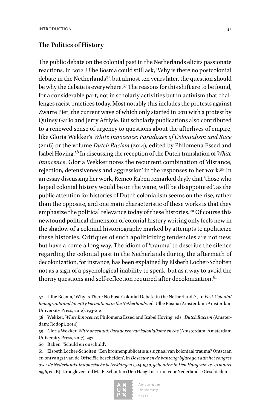#### **The Politics of History**

The public debate on the colonial past in the Netherlands elicits passionate reactions. In 2012, Ulbe Bosma could still ask, 'Why is there no postcolonial debate in the Netherlands?', but almost ten years later, the question should be why the debate is everywhere.57 The reasons for this shift are to be found, for a considerable part, not in scholarly activities but in activism that challenges racist practices today. Most notably this includes the protests against Zwarte Piet, the current wave of which only started in 2011 with a protest by Quinsy Gario and Jerry Afriyie. But scholarly publications also contributed to a renewed sense of urgency to questions about the afterlives of empire, like Gloria Wekker's *White Innocence: Paradoxes of Colonialism and Race*  (2016) or the volume *Dutch Racism* (2014), edited by Philomena Essed and Isabel Hoving.58 In discussing the reception of the Dutch translation of *White Innocence*, Gloria Wekker notes the recurrent combination of 'distance, rejection, defensiveness and aggression' in the responses to her work.59 In an essay discussing her work, Remco Raben remarked dryly that 'those who hoped colonial history would be on the wane, will be disappointed', as the public attention for histories of Dutch colonialism seems on the rise, rather than the opposite, and one main characteristic of these works is that they emphasize the political relevance today of these histories.<sup>60</sup> Of course this newfound political dimension of colonial history writing only feels new in the shadow of a colonial historiography marked by attempts to apoliticize these histories. Critiques of such apoliticizing tendencies are not new, but have a come a long way. The idiom of 'trauma' to describe the silence regarding the colonial past in the Netherlands during the aftermath of decolonization, for instance, has been explained by Elsbeth Locher-Scholten not as a sign of a psychological inability to speak, but as a way to avoid the thorny questions and self-reflection required after decolonization. $61$ 

57 Ulbe Bosma, 'Why Is There No Post-Colonial Debate in the Netherlands?', in *Post-Colonial Immigrants and Identity Formations in the Netherlands*, ed. Ulbe Bosma (Amsterdam: Amsterdam University Press, 2012), 193-212.

58 Wekker, *White Innocence*; Philomena Essed and Isabel Hoving, eds., *Dutch Racism* (Amsterdam: Rodopi, 2014).

59 Gloria Wekker, *Witte onschuld: Paradoxen van kolonialisme en ras* (Amsterdam: Amsterdam University Press, 2017), 237.

60 Raben, 'Schuld en onschuld'.

61 Elsbeth Locher-Scholten, 'Een bronnenpublicatie als signaal van koloniaal trauma? Ontstaan en ontvangst van de Officiële bescheiden', in *De leeuw en de banteng: bijdragen aan het congres over de Nederlands-Indonesische betrekkingen 1945-1950, gehouden in Den Haag van 27-29 maart 1996*, ed. P.J. Drooglever and M.J.B. Schouten (Den Haag: Instituut voor Nederlandse Geschiedenis,

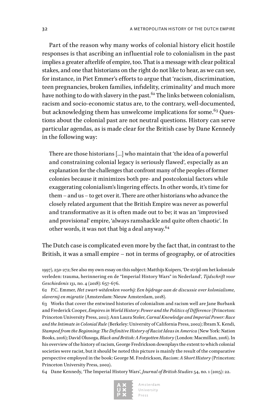Part of the reason why many works of colonial history elicit hostile responses is that ascribing an influential role to colonialism in the past implies a greater afterlife of empire, too. That is a message with clear political stakes, and one that historians on the right do not like to hear, as we can see, for instance, in Piet Emmer's efforts to argue that 'racism, discrimination, teen pregnancies, broken families, infidelity, criminality' and much more have nothing to do with slavery in the past.<sup>62</sup> The links between colonialism, racism and socio-economic status are, to the contrary, well-documented, but acknowledging them has unwelcome implications for some.<sup>63</sup> Questions about the colonial past are not neutral questions. History can serve particular agendas, as is made clear for the British case by Dane Kennedy in the following way:

There are those historians […] who maintain that 'the idea of a powerful and constraining colonial legacy is seriously flawed', especially as an explanation for the challenges that confront many of the peoples of former colonies because it minimizes both pre- and postcolonial factors while exaggerating colonialism's lingering effects. In other words, it's time for them – and us – to get over it. There are other historians who advance the closely related argument that the British Empire was never as powerful and transformative as it is often made out to be; it was an 'improvised and provisional' empire, 'always ramshackle and quite often chaotic'. In other words, it was not that big a deal anyway.<sup>64</sup>

### The Dutch case is complicated even more by the fact that, in contrast to the British, it was a small empire – not in terms of geography, or of atrocities

64 Dane Kennedy, 'The Imperial History Wars', *Journal of British Studies* 54, no. 1 (2015): 22.



<sup>1997), 250-272;</sup> See also my own essay on this subject: Matthijs Kuipers, 'De strijd om het koloniale verleden: trauma, herinnering en de "Imperial History Wars" in Nederland', *Tijdschrift voor Geschiedenis* 131, no. 4 (2018): 657-676.

<sup>62</sup> P.C. Emmer, *Het zwart-witdenken voorbij: Een bijdrage aan de discussie over kolonialisme, slavernij en migratie* (Amsterdam: Nieuw Amsterdam, 2018).

<sup>63</sup> Works that cover the entwined histories of colonialism and racism well are Jane Burbank and Frederick Cooper, *Empires in World History: Power and the Politics of Difference* (Princeton: Princeton University Press, 2011); Ann Laura Stoler, *Carnal Knowledge and Imperial Power: Race and the Intimate in Colonial Rule* (Berkeley: University of California Press, 2002); Ibram X. Kendi, *Stamped from the Beginning: The Definitive History of Racist Ideas in America* (New York: Nation Books, 2016); David Olusoga, *Black and British: A Forgotten History* (London: Macmillan, 2016). In his overview of the history of racism, George Fredrickson downplays the extent to which colonial societies were racist, but it should be noted this picture is mainly the result of the comparative perspective employed in the book: George M. Fredrickson, *Racism: A Short History* (Princeton: Princeton University Press, 2002).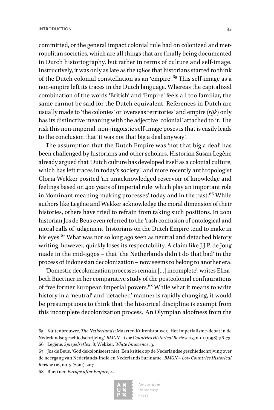committed, or the general impact colonial rule had on colonized and metropolitan societies, which are all things that are finally being documented in Dutch historiography, but rather in terms of culture and self-image. Instructively, it was only as late as the 1980s that historians started to think of the Dutch colonial constellation as an 'empire'.  $65$  This self-image as a non-empire left its traces in the Dutch language. Whereas the capitalized combination of the words 'British' and 'Empire' feels all too familiar, the same cannot be said for the Dutch equivalent. References in Dutch are usually made to 'the colonies' or 'overseas territories' and empire (*rijk*) only has its distinctive meaning with the adjective 'colonial' attached to it. The risk this non-imperial, non-jingoistic self-image poses is that is easily leads to the conclusion that 'it was not that big a deal anyway'.

The assumption that the Dutch Empire was 'not that big a deal' has been challenged by historians and other scholars. Historian Susan Legêne already argued that 'Dutch culture has developed itself as a colonial culture, which has left traces in today's society', and more recently anthropologist Gloria Wekker posited 'an unacknowledged reservoir of knowledge and feelings based on 400 years of imperial rule' which play an important role in 'dominant meaning-making processes' today and in the past. $66$  While authors like Legêne and Wekker acknowledge the moral dimension of their histories, others have tried to refrain from taking such positions. In 2001 historian Jos de Beus even referred to the 'rash confusion of ontological and moral calls of judgement' historians on the Dutch Empire tend to make in his eyes.<sup>67</sup> What was not so long ago seen as neutral and detached history writing, however, quickly loses its respectability. A claim like J.J.P. de Jong made in the mid-1990s – that 'the Netherlands didn't do that bad' in the process of Indonesian decolonization – now seems to belong to another era.

'Domestic decolonization processes remain […] incomplete', writes Elizabeth Buettner in her comparative study of the postcolonial configurations of five former European imperial powers.<sup>68</sup> While what it means to write history in a 'neutral' and 'detached' manner is rapidly changing, it would be presumptuous to think that the historical discipline is exempt from this incomplete decolonization process. 'An Olympian aloofness from the

68 Buettner, *Europe after Empire*, 4.



<sup>65</sup> Kuitenbrouwer, *The Netherlands*; Maarten Kuitenbrouwer, 'Het imperialisme-debat in de Nederlandse geschiedschrijving', *BMGN – Low Countries Historical Review* 113, no. 1 (1998): 56-73. 66 Legêne, *Spiegelreflex*, 8; Wekker, *White Innocence*, 3.

<sup>67</sup> Jos de Beus, 'God dekoloniseert niet. Een kritiek op de Nederlandse geschiedschrijving over de neergang van Nederlands-Indië en Nederlands Suriname', *BMGN – Low Countries Historical Review* 116, no. 3 (2001): 207.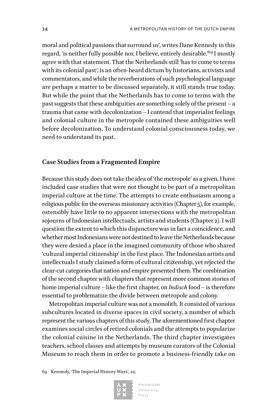moral and political passions that surround us', writes Dane Kennedy in this regard, 'is neither fully possible nor, I believe, entirely desirable.'<sup>69</sup> I mostly agree with that statement. That the Netherlands still 'has to come to terms with its colonial past', is an often-heard dictum by historians, activists and commentators, and while the reverberations of such psychological language are perhaps a matter to be discussed separately, it still stands true today. But while the point that the Netherlands has to come to terms with the past suggests that these ambiguities are something solely of the present – a trauma that came with decolonization – I contend that imperialist feelings and colonial culture in the metropole contained these ambiguities well before decolonization. To understand colonial consciousness today, we need to understand its past.

### **Case Studies from a Fragmented Empire**

Because this study does not take the idea of 'the metropole' as a given, I have included case studies that were not thought to be part of a metropolitan imperial culture at the time. The attempts to create enthusiasm among a religious public for the overseas missionary activities (Chapter 5), for example, ostensibly have little to no apparent intersections with the metropolitan sojourns of Indonesian intellectuals, artists and students (Chapter 2). I will question the extent to which this disjuncture was in fact a coincidence, and whether most Indonesians were not destined to leave the Netherlands because they were denied a place in the imagined community of those who shared 'cultural imperial citizenship' in the first place. The Indonesian artists and intellectuals I study claimed a form of cultural citizenship, yet rejected the clear-cut categories that nation and empire presented them. The combination of the second chapter with chapters that represent more common stories of home imperial culture – like the first chapter, on *Indisch* food – is therefore essential to problematize the divide between metropole and colony.

Metropolitan imperial culture was not a monolith. It consisted of various subcultures located in diverse spaces in civil society, a number of which represent the various chapters of this study. The aforementioned first chapter examines social circles of retired colonials and the attempts to popularize the colonial cuisine in the Netherlands. The third chapter investigates teachers, school classes and attempts by museum curators of the Colonial Museum to reach them in order to promote a business-friendly take on

69 Kennedy, 'The Imperial History Wars', 22.



Amsterdam University  $P r \varrho s s$